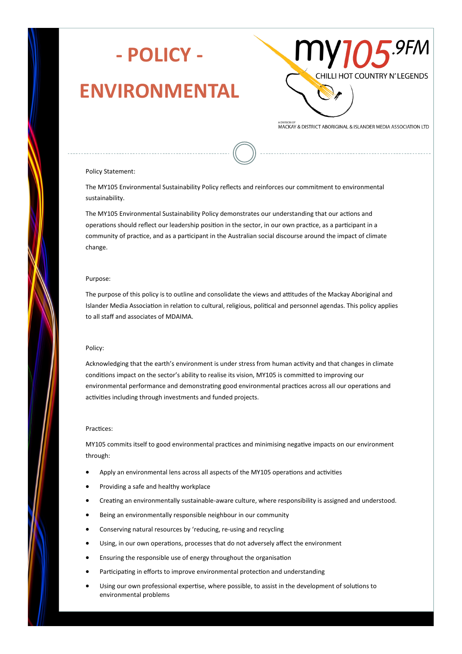

### **ENVIRONMENTAL**



MACKAY & DISTRICT ABORIGINAL & ISLANDER MEDIA ASSOCIATION LTD

### Policy Statement:

The MY105 Environmental Sustainability Policy reflects and reinforces our commitment to environmental sustainability.

The MY105 Environmental Sustainability Policy demonstrates our understanding that our actions and operations should reflect our leadership position in the sector, in our own practice, as a participant in a community of practice, and as a participant in the Australian social discourse around the impact of climate change.

### Purpose:

The purpose of this policy is to outline and consolidate the views and attitudes of the Mackay Aboriginal and Islander Media Association in relation to cultural, religious, political and personnel agendas. This policy applies to all staff and associates of MDAIMA.

### Policy:

Acknowledging that the earth's environment is under stress from human activity and that changes in climate conditions impact on the sector's ability to realise its vision, MY105 is committed to improving our environmental performance and demonstrating good environmental practices across all our operations and activities including through investments and funded projects.

### Practices:

MY105 commits itself to good environmental practices and minimising negative impacts on our environment through:

- Apply an environmental lens across all aspects of the MY105 operations and activities
- Providing a safe and healthy workplace
- Creating an environmentally sustainable-aware culture, where responsibility is assigned and understood.
- Being an environmentally responsible neighbour in our community
- Conserving natural resources by 'reducing, re-using and recycling
- Using, in our own operations, processes that do not adversely affect the environment
- Ensuring the responsible use of energy throughout the organisation
- Participating in efforts to improve environmental protection and understanding
- Using our own professional expertise, where possible, to assist in the development of solutions to environmental problems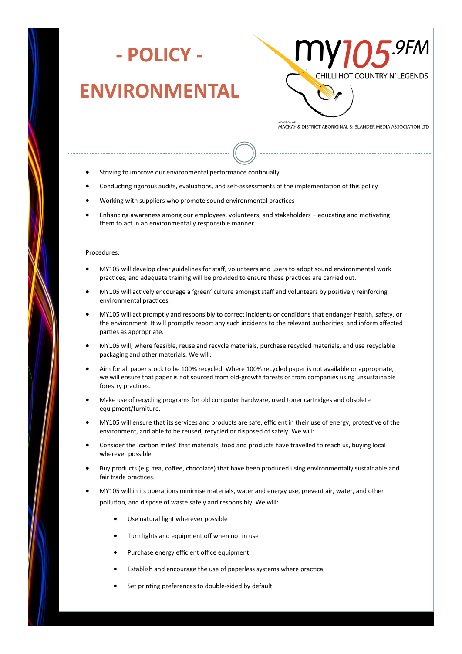

## **- POLICY -**

## **ENVIRONMENTAL**



MACKAY & DISTRICT ABORIGINAL & ISLANDER MEDIA ASSOCIATION LTD

- Striving to improve our environmental performance continually
- Conducting rigorous audits, evaluations, and self-assessments of the implementation of this policy
- Working with suppliers who promote sound environmental practices
- Enhancing awareness among our employees, volunteers, and stakeholders educating and motivating them to act in an environmentally responsible manner.

### Procedures:

- MY105 will develop clear guidelines for staff, volunteers and users to adopt sound environmental work practices, and adequate training will be provided to ensure these practices are carried out.
- MY105 will actively encourage a 'green' culture amongst staff and volunteers by positively reinforcing environmental practices.
- MY105 will act promptly and responsibly to correct incidents or conditions that endanger health, safety, or the environment. It will promptly report any such incidents to the relevant authorities, and inform affected parties as appropriate.
- MY105 will, where feasible, reuse and recycle materials, purchase recycled materials, and use recyclable packaging and other materials. We will:
- Aim for all paper stock to be 100% recycled. Where 100% recycled paper is not available or appropriate, we will ensure that paper is not sourced from old-growth forests or from companies using unsustainable forestry practices.
- Make use of recycling programs for old computer hardware, used toner cartridges and obsolete equipment/furniture.
- MY105 will ensure that its services and products are safe, efficient in their use of energy, protective of the environment, and able to be reused, recycled or disposed of safely. We will:
- Consider the 'carbon miles' that materials, food and products have travelled to reach us, buying local wherever possible
- Buy products (e.g. tea, coffee, chocolate) that have been produced using environmentally sustainable and fair trade practices.
- MY105 will in its operations minimise materials, water and energy use, prevent air, water, and other pollution, and dispose of waste safely and responsibly. We will:
	- Use natural light wherever possible
	- Turn lights and equipment off when not in use
	- Purchase energy efficient office equipment
	- Establish and encourage the use of paperless systems where practical
	- Set printing preferences to double-sided by default